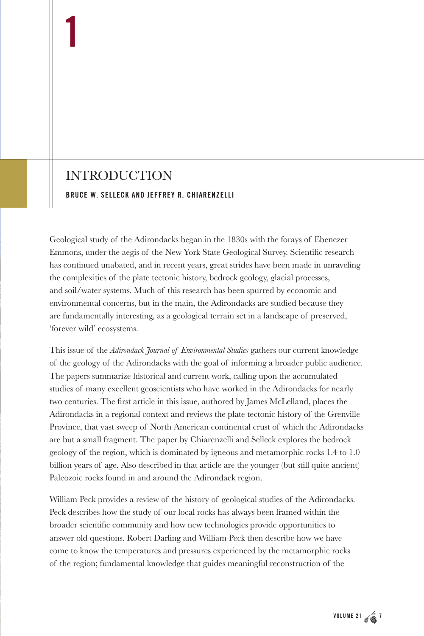## INTRODUCTION

**1**

## **BRUCE W. SELLECK AND JEFFREY R. CHIARENZELLI**

Geological study of the Adirondacks began in the 1830s with the forays of Ebenezer Emmons, under the aegis of the New York State Geological Survey. Scientific research has continued unabated, and in recent years, great strides have been made in unraveling the complexities of the plate tectonic history, bedrock geology, glacial processes, and soil/water systems. Much of this research has been spurred by economic and environmental concerns, but in the main, the Adirondacks are studied because they are fundamentally interesting, as a geological terrain set in a landscape of preserved, 'forever wild' ecosystems.

This issue of the *Adirondack Journal of Environmental Studies* gathers our current knowledge of the geology of the Adirondacks with the goal of informing a broader public audience. The papers summarize historical and current work, calling upon the accumulated studies of many excellent geoscientists who have worked in the Adirondacks for nearly two centuries. The first article in this issue, authored by James McLelland, places the Adirondacks in a regional context and reviews the plate tectonic history of the Grenville Province, that vast sweep of North American continental crust of which the Adirondacks are but a small fragment. The paper by Chiarenzelli and Selleck explores the bedrock geology of the region, which is dominated by igneous and metamorphic rocks 1.4 to 1.0 billion years of age. Also described in that article are the younger (but still quite ancient) Paleozoic rocks found in and around the Adirondack region.

William Peck provides a review of the history of geological studies of the Adirondacks. Peck describes how the study of our local rocks has always been framed within the broader scientific community and how new technologies provide opportunities to answer old questions. Robert Darling and William Peck then describe how we have come to know the temperatures and pressures experienced by the metamorphic rocks of the region; fundamental knowledge that guides meaningful reconstruction of the